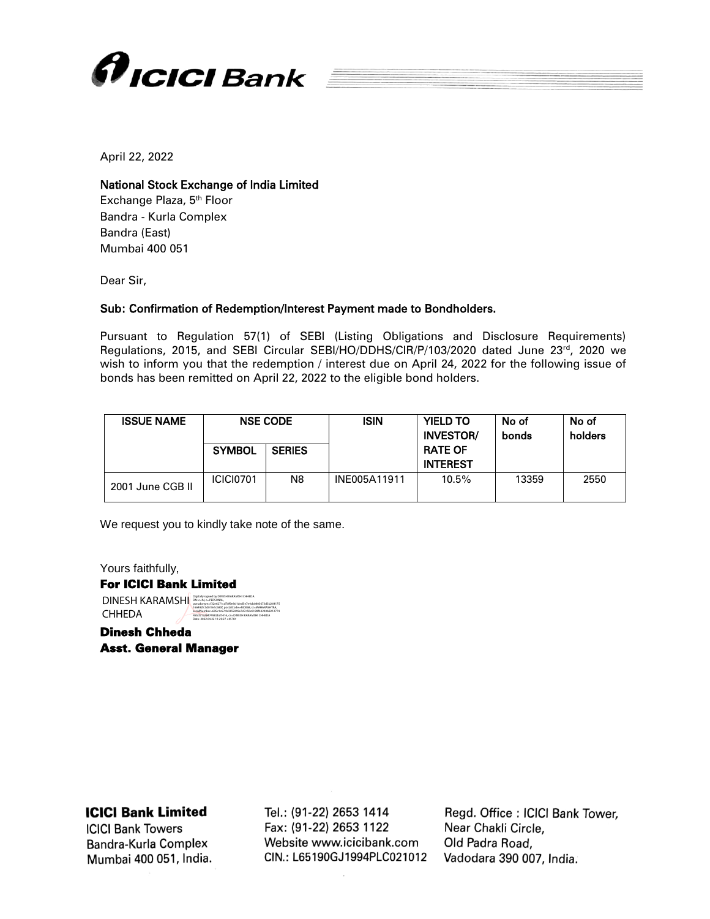

April 22, 2022

## National Stock Exchange of India Limited

Exchange Plaza, 5<sup>th</sup> Floor Bandra - Kurla Complex Bandra (East) Mumbai 400 051

Dear Sir,

## Sub: Confirmation of Redemption/Interest Payment made to Bondholders.

Pursuant to Regulation 57(1) of SEBI (Listing Obligations and Disclosure Requirements) Regulations, 2015, and SEBI Circular SEBI/HO/DDHS/CIR/P/103/2020 dated June 23rd, 2020 we wish to inform you that the redemption / interest due on April 24, 2022 for the following issue of bonds has been remitted on April 22, 2022 to the eligible bond holders.

| <b>ISSUE NAME</b> | <b>NSE CODE</b> |               | <b>ISIN</b>  | <b>YIELD TO</b><br><b>INVESTOR/</b> | No of<br>bonds | No of<br>holders |
|-------------------|-----------------|---------------|--------------|-------------------------------------|----------------|------------------|
|                   | <b>SYMBOL</b>   | <b>SERIES</b> |              | <b>RATE OF</b><br><b>INTEREST</b>   |                |                  |
| 2001 June CGB II  | ICICI0701       | N8            | INE005A11911 | 10.5%                               | 13359          | 2550             |

We request you to kindly take note of the same.

166492fc5d01fe1c680f, postalCode=400068, st=MAHARASHTRA, serialNumber=695c1c67cb0355049e7d7c50c6189f44200b8212774 45bd21a28474982bd7416, cn=DINESH KARAMSHI CHHEDA Date: 2022.04.22 11:29:27 +05'30'

Yours faithfully, For ICICI Bank Limited DINESH KARAMSHI Digitally signed by DINESH KARAMSHI CHHEDA<br>
DINESH KARAMSHI <sub>pseudonym=f32e6271cd78f9e9d1ded5e7e4cb0803673d3b264175</sub>

CHHEDA

Dinesh Chheda Asst. General Manager

## **ICICI Bank Limited**

**ICICI Bank Towers** Bandra-Kurla Complex Mumbai 400 051, India.

Tel.: (91-22) 2653 1414 Fax: (91-22) 2653 1122 Website www.icicibank.com CIN.: L65190GJ1994PLC021012

Regd. Office: ICICI Bank Tower, Near Chakli Circle, Old Padra Road, Vadodara 390 007, India.